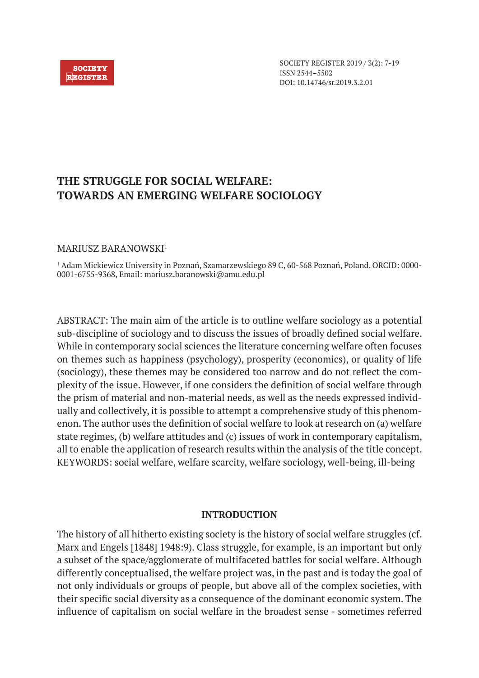### **SOCIETY REGISTER**

# **THE STRUGGLE FOR SOCIAL WELFARE: TOWARDS AN EMERGING WELFARE SOCIOLOGY**

# MARIUSZ BARANOWSKI<sup>1</sup>

1 Adam Mickiewicz University in Poznań, Szamarzewskiego 89 C, 60-568 Poznań, Poland. ORCID: 0000- 0001-6755-9368, Email: mariusz.baranowski@amu.edu.pl

ABSTRACT: The main aim of the article is to outline welfare sociology as a potential sub-discipline of sociology and to discuss the issues of broadly defined social welfare. While in contemporary social sciences the literature concerning welfare often focuses on themes such as happiness (psychology), prosperity (economics), or quality of life (sociology), these themes may be considered too narrow and do not reflect the complexity of the issue. However, if one considers the definition of social welfare through the prism of material and non-material needs, as well as the needs expressed individually and collectively, it is possible to attempt a comprehensive study of this phenomenon. The author uses the definition of social welfare to look at research on (a) welfare state regimes, (b) welfare attitudes and (c) issues of work in contemporary capitalism, all to enable the application of research results within the analysis of the title concept. KEYWORDS: social welfare, welfare scarcity, welfare sociology, well-being, ill-being

# **INTRODUCTION**

The history of all hitherto existing society is the history of social welfare struggles (cf. Marx and Engels [1848] 1948:9). Class struggle, for example, is an important but only a subset of the space/agglomerate of multifaceted battles for social welfare. Although differently conceptualised, the welfare project was, in the past and is today the goal of not only individuals or groups of people, but above all of the complex societies, with their specific social diversity as a consequence of the dominant economic system. The influence of capitalism on social welfare in the broadest sense - sometimes referred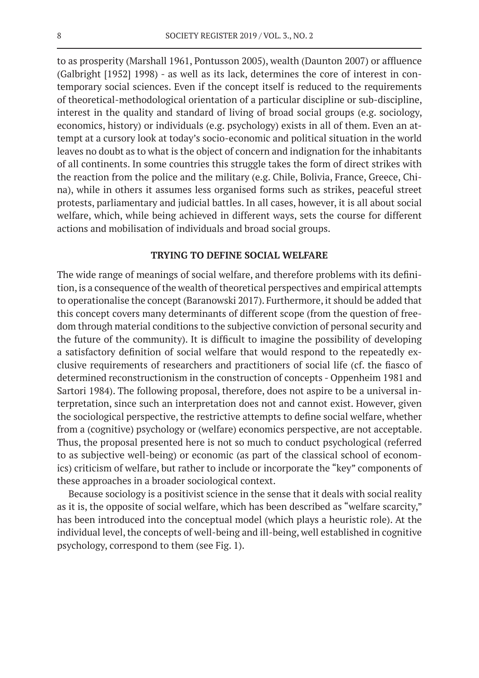to as prosperity (Marshall 1961, Pontusson 2005), wealth (Daunton 2007) or affluence (Galbright [1952] 1998) - as well as its lack, determines the core of interest in contemporary social sciences. Even if the concept itself is reduced to the requirements of theoretical-methodological orientation of a particular discipline or sub-discipline, interest in the quality and standard of living of broad social groups (e.g. sociology, economics, history) or individuals (e.g. psychology) exists in all of them. Even an attempt at a cursory look at today's socio-economic and political situation in the world leaves no doubt as to what is the object of concern and indignation for the inhabitants of all continents. In some countries this struggle takes the form of direct strikes with the reaction from the police and the military (e.g. Chile, Bolivia, France, Greece, China), while in others it assumes less organised forms such as strikes, peaceful street protests, parliamentary and judicial battles. In all cases, however, it is all about social welfare, which, while being achieved in different ways, sets the course for different actions and mobilisation of individuals and broad social groups.

### **TRYING TO DEFINE SOCIAL WELFARE**

The wide range of meanings of social welfare, and therefore problems with its definition, is a consequence of the wealth of theoretical perspectives and empirical attempts to operationalise the concept (Baranowski 2017). Furthermore, it should be added that this concept covers many determinants of different scope (from the question of freedom through material conditions to the subjective conviction of personal security and the future of the community). It is difficult to imagine the possibility of developing a satisfactory definition of social welfare that would respond to the repeatedly exclusive requirements of researchers and practitioners of social life (cf. the fiasco of determined reconstructionism in the construction of concepts - Oppenheim 1981 and Sartori 1984). The following proposal, therefore, does not aspire to be a universal interpretation, since such an interpretation does not and cannot exist. However, given the sociological perspective, the restrictive attempts to define social welfare, whether from a (cognitive) psychology or (welfare) economics perspective, are not acceptable. Thus, the proposal presented here is not so much to conduct psychological (referred to as subjective well-being) or economic (as part of the classical school of economics) criticism of welfare, but rather to include or incorporate the "key" components of these approaches in a broader sociological context.

Because sociology is a positivist science in the sense that it deals with social reality as it is, the opposite of social welfare, which has been described as "welfare scarcity," has been introduced into the conceptual model (which plays a heuristic role). At the individual level, the concepts of well-being and ill-being, well established in cognitive psychology, correspond to them (see Fig. 1).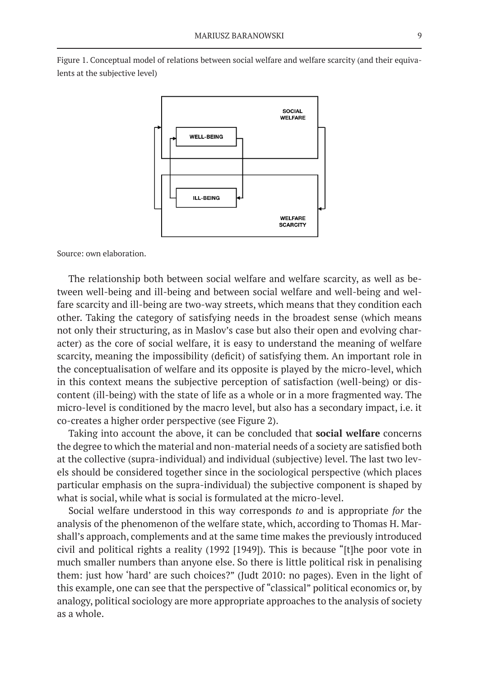Figure 1. Conceptual model of relations between social welfare and welfare scarcity (and their equivalents at the subjective level)



Source: own elaboration.

The relationship both between social welfare and welfare scarcity, as well as between well-being and ill-being and between social welfare and well-being and welfare scarcity and ill-being are two-way streets, which means that they condition each other. Taking the category of satisfying needs in the broadest sense (which means not only their structuring, as in Maslov's case but also their open and evolving character) as the core of social welfare, it is easy to understand the meaning of welfare scarcity, meaning the impossibility (deficit) of satisfying them. An important role in the conceptualisation of welfare and its opposite is played by the micro-level, which in this context means the subjective perception of satisfaction (well-being) or discontent (ill-being) with the state of life as a whole or in a more fragmented way. The micro-level is conditioned by the macro level, but also has a secondary impact, i.e. it co-creates a higher order perspective (see Figure 2).

Taking into account the above, it can be concluded that **social welfare** concerns the degree to which the material and non-material needs of a society are satisfied both at the collective (supra-individual) and individual (subjective) level. The last two levels should be considered together since in the sociological perspective (which places particular emphasis on the supra-individual) the subjective component is shaped by what is social, while what is social is formulated at the micro-level.

Social welfare understood in this way corresponds *to* and is appropriate *for* the analysis of the phenomenon of the welfare state, which, according to Thomas H. Marshall's approach, complements and at the same time makes the previously introduced civil and political rights a reality (1992 [1949]). This is because "[t]he poor vote in much smaller numbers than anyone else. So there is little political risk in penalising them: just how 'hard' are such choices?" (Judt 2010: no pages). Even in the light of this example, one can see that the perspective of "classical" political economics or, by analogy, political sociology are more appropriate approaches to the analysis of society as a whole.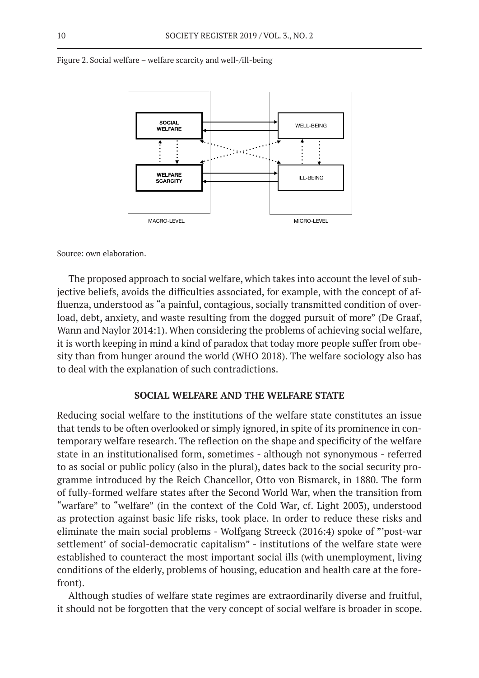

Figure 2. Social welfare – welfare scarcity and well-/ill-being

Source: own elaboration.

The proposed approach to social welfare, which takes into account the level of subjective beliefs, avoids the difficulties associated, for example, with the concept of affluenza, understood as "a painful, contagious, socially transmitted condition of overload, debt, anxiety, and waste resulting from the dogged pursuit of more" (De Graaf, Wann and Naylor 2014:1). When considering the problems of achieving social welfare, it is worth keeping in mind a kind of paradox that today more people suffer from obesity than from hunger around the world (WHO 2018). The welfare sociology also has to deal with the explanation of such contradictions.

### **SOCIAL WELFARE AND THE WELFARE STATE**

Reducing social welfare to the institutions of the welfare state constitutes an issue that tends to be often overlooked or simply ignored, in spite of its prominence in contemporary welfare research. The reflection on the shape and specificity of the welfare state in an institutionalised form, sometimes - although not synonymous - referred to as social or public policy (also in the plural), dates back to the social security programme introduced by the Reich Chancellor, Otto von Bismarck, in 1880. The form of fully-formed welfare states after the Second World War, when the transition from "warfare" to "welfare" (in the context of the Cold War, cf. Light 2003), understood as protection against basic life risks, took place. In order to reduce these risks and eliminate the main social problems - Wolfgang Streeck (2016:4) spoke of "'post-war settlement' of social-democratic capitalism" - institutions of the welfare state were established to counteract the most important social ills (with unemployment, living conditions of the elderly, problems of housing, education and health care at the forefront).

Although studies of welfare state regimes are extraordinarily diverse and fruitful, it should not be forgotten that the very concept of social welfare is broader in scope.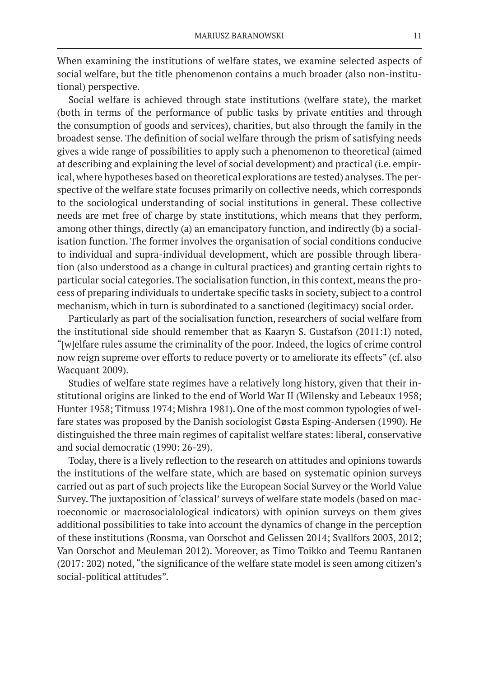When examining the institutions of welfare states, we examine selected aspects of social welfare, but the title phenomenon contains a much broader (also non-institutional) perspective.

Social welfare is achieved through state institutions (welfare state), the market (both in terms of the performance of public tasks by private entities and through the consumption of goods and services), charities, but also through the family in the broadest sense. The definition of social welfare through the prism of satisfying needs gives a wide range of possibilities to apply such a phenomenon to theoretical (aimed at describing and explaining the level of social development) and practical (i.e. empirical, where hypotheses based on theoretical explorations are tested) analyses. The perspective of the welfare state focuses primarily on collective needs, which corresponds to the sociological understanding of social institutions in general. These collective needs are met free of charge by state institutions, which means that they perform, among other things, directly (a) an emancipatory function, and indirectly (b) a socialisation function. The former involves the organisation of social conditions conducive to individual and supra-individual development, which are possible through liberation (also understood as a change in cultural practices) and granting certain rights to particular social categories. The socialisation function, in this context, means the process of preparing individuals to undertake specific tasks in society, subject to a control mechanism, which in turn is subordinated to a sanctioned (legitimacy) social order.

Particularly as part of the socialisation function, researchers of social welfare from the institutional side should remember that as Kaaryn S. Gustafson (2011:1) noted, "[w]elfare rules assume the criminality of the poor. Indeed, the logics of crime control now reign supreme over efforts to reduce poverty or to ameliorate its effects" (cf. also Wacquant 2009).

Studies of welfare state regimes have a relatively long history, given that their institutional origins are linked to the end of World War II (Wilensky and Lebeaux 1958; Hunter 1958; Titmuss 1974; Mishra 1981). One of the most common typologies of welfare states was proposed by the Danish sociologist Gøsta Esping-Andersen (1990). He distinguished the three main regimes of capitalist welfare states: liberal, conservative and social democratic (1990: 26-29).

Today, there is a lively reflection to the research on attitudes and opinions towards the institutions of the welfare state, which are based on systematic opinion surveys carried out as part of such projects like the European Social Survey or the World Value Survey. The juxtaposition of 'classical' surveys of welfare state models (based on macroeconomic or macrosocialological indicators) with opinion surveys on them gives additional possibilities to take into account the dynamics of change in the perception of these institutions (Roosma, van Oorschot and Gelissen 2014; Svallfors 2003, 2012; Van Oorschot and Meuleman 2012). Moreover, as Timo Toikko and Teemu Rantanen (2017: 202) noted, "the significance of the welfare state model is seen among citizen's social-political attitudes".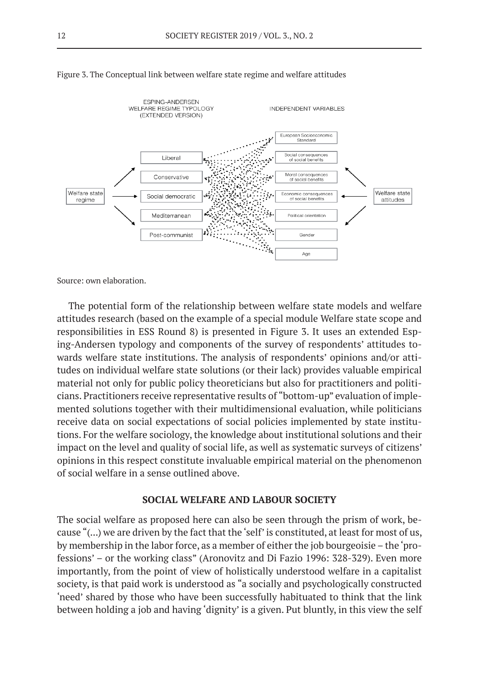

#### Figure 3. The Conceptual link between welfare state regime and welfare attitudes

Source: own elaboration.

The potential form of the relationship between welfare state models and welfare attitudes research (based on the example of a special module Welfare state scope and responsibilities in ESS Round 8) is presented in Figure 3. It uses an extended Esping-Andersen typology and components of the survey of respondents' attitudes towards welfare state institutions. The analysis of respondents' opinions and/or attitudes on individual welfare state solutions (or their lack) provides valuable empirical material not only for public policy theoreticians but also for practitioners and politicians. Practitioners receive representative results of "bottom-up" evaluation of implemented solutions together with their multidimensional evaluation, while politicians receive data on social expectations of social policies implemented by state institutions. For the welfare sociology, the knowledge about institutional solutions and their impact on the level and quality of social life, as well as systematic surveys of citizens' opinions in this respect constitute invaluable empirical material on the phenomenon of social welfare in a sense outlined above.

# **SOCIAL WELFARE AND LABOUR SOCIETY**

The social welfare as proposed here can also be seen through the prism of work, because "(...) we are driven by the fact that the 'self' is constituted, at least for most of us, by membership in the labor force, as a member of either the job bourgeoisie – the 'professions' – or the working class" (Aronovitz and Di Fazio 1996: 328-329). Even more importantly, from the point of view of holistically understood welfare in a capitalist society, is that paid work is understood as "a socially and psychologically constructed 'need' shared by those who have been successfully habituated to think that the link between holding a job and having 'dignity' is a given. Put bluntly, in this view the self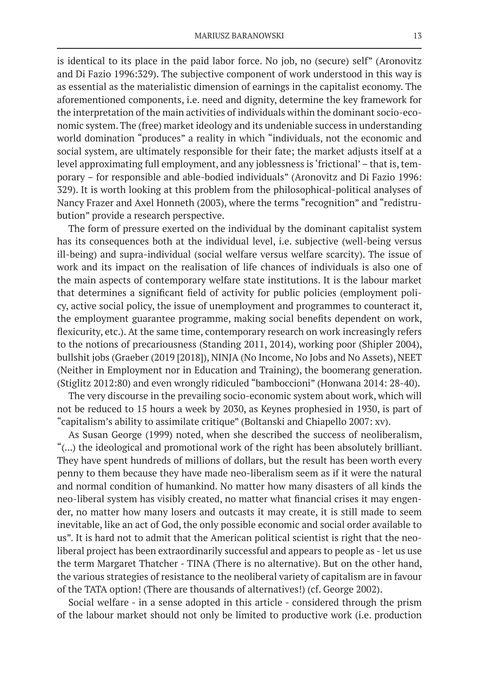is identical to its place in the paid labor force. No job, no (secure) self" (Aronovitz and Di Fazio 1996:329). The subjective component of work understood in this way is as essential as the materialistic dimension of earnings in the capitalist economy. The aforementioned components, i.e. need and dignity, determine the key framework for the interpretation of the main activities of individuals within the dominant socio-economic system. The (free) market ideology and its undeniable success in understanding world domination "produces" a reality in which "individuals, not the economic and social system, are ultimately responsible for their fate; the market adjusts itself at a level approximating full employment, and any joblessness is 'frictional' – that is, temporary – for responsible and able-bodied individuals" (Aronovitz and Di Fazio 1996: 329). It is worth looking at this problem from the philosophical-political analyses of Nancy Frazer and Axel Honneth (2003), where the terms "recognition" and "redistrubution" provide a research perspective.

The form of pressure exerted on the individual by the dominant capitalist system has its consequences both at the individual level, i.e. subjective (well-being versus ill-being) and supra-individual (social welfare versus welfare scarcity). The issue of work and its impact on the realisation of life chances of individuals is also one of the main aspects of contemporary welfare state institutions. It is the labour market that determines a significant field of activity for public policies (employment policy, active social policy, the issue of unemployment and programmes to counteract it, the employment guarantee programme, making social benefits dependent on work, flexicurity, etc.). At the same time, contemporary research on work increasingly refers to the notions of precariousness (Standing 2011, 2014), working poor (Shipler 2004), bullshit jobs (Graeber (2019 [2018]), NINJA (No Income, No Jobs and No Assets), NEET (Neither in Employment nor in Education and Training), the boomerang generation. (Stiglitz 2012:80) and even wrongly ridiculed "bamboccioni" (Honwana 2014: 28-40).

The very discourse in the prevailing socio-economic system about work, which will not be reduced to 15 hours a week by 2030, as Keynes prophesied in 1930, is part of "capitalism's ability to assimilate critique" (Boltanski and Chiapello 2007: xv).

As Susan George (1999) noted, when she described the success of neoliberalism, "(...) the ideological and promotional work of the right has been absolutely brilliant. They have spent hundreds of millions of dollars, but the result has been worth every penny to them because they have made neo-liberalism seem as if it were the natural and normal condition of humankind. No matter how many disasters of all kinds the neo-liberal system has visibly created, no matter what financial crises it may engender, no matter how many losers and outcasts it may create, it is still made to seem inevitable, like an act of God, the only possible economic and social order available to us". It is hard not to admit that the American political scientist is right that the neoliberal project has been extraordinarily successful and appears to people as - let us use the term Margaret Thatcher - TINA (There is no alternative). But on the other hand, the various strategies of resistance to the neoliberal variety of capitalism are in favour of the TATA option! (There are thousands of alternatives!) (cf. George 2002).

Social welfare - in a sense adopted in this article - considered through the prism of the labour market should not only be limited to productive work (i.e. production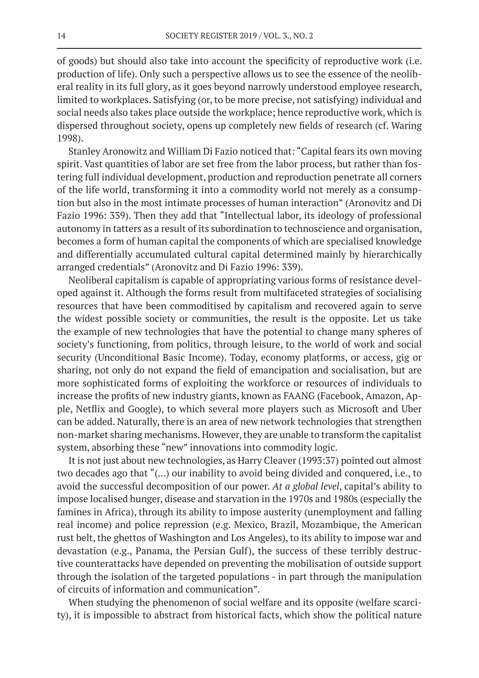of goods) but should also take into account the specificity of reproductive work (i.e. production of life). Only such a perspective allows us to see the essence of the neoliberal reality in its full glory, as it goes beyond narrowly understood employee research, limited to workplaces. Satisfying (or, to be more precise, not satisfying) individual and social needs also takes place outside the workplace; hence reproductive work, which is dispersed throughout society, opens up completely new fields of research (cf. Waring 1998).

Stanley Aronowitz and William Di Fazio noticed that: "Capital fears its own moving spirit. Vast quantities of labor are set free from the labor process, but rather than fostering full individual development, production and reproduction penetrate all corners of the life world, transforming it into a commodity world not merely as a consumption but also in the most intimate processes of human interaction" (Aronovitz and Di Fazio 1996: 339). Then they add that "Intellectual labor, its ideology of professional autonomy in tatters as a result of its subordination to technoscience and organisation, becomes a form of human capital the components of which are specialised knowledge and differentially accumulated cultural capital determined mainly by hierarchically arranged credentials" (Aronovitz and Di Fazio 1996: 339).

Neoliberal capitalism is capable of appropriating various forms of resistance developed against it. Although the forms result from multifaceted strategies of socialising resources that have been commoditised by capitalism and recovered again to serve the widest possible society or communities, the result is the opposite. Let us take the example of new technologies that have the potential to change many spheres of society's functioning, from politics, through leisure, to the world of work and social security (Unconditional Basic Income). Today, economy platforms, or access, gig or sharing, not only do not expand the field of emancipation and socialisation, but are more sophisticated forms of exploiting the workforce or resources of individuals to increase the profits of new industry giants, known as FAANG (Facebook, Amazon, Apple, Netflix and Google), to which several more players such as Microsoft and Uber can be added. Naturally, there is an area of new network technologies that strengthen non-market sharing mechanisms. However, they are unable to transform the capitalist system, absorbing these "new" innovations into commodity logic.

It is not just about new technologies, as Harry Cleaver (1993:37) pointed out almost two decades ago that "(…) our inability to avoid being divided and conquered, i.e., to avoid the successful decomposition of our power. *At a global level*, capital's ability to impose localised hunger, disease and starvation in the 1970s and 1980s (especially the famines in Africa), through its ability to impose austerity (unemployment and falling real income) and police repression (e.g. Mexico, Brazil, Mozambique, the American rust belt, the ghettos of Washington and Los Angeles), to its ability to impose war and devastation (e.g., Panama, the Persian Gulf), the success of these terribly destructive counterattacks have depended on preventing the mobilisation of outside support through the isolation of the targeted populations - in part through the manipulation of circuits of information and communication".

When studying the phenomenon of social welfare and its opposite (welfare scarcity), it is impossible to abstract from historical facts, which show the political nature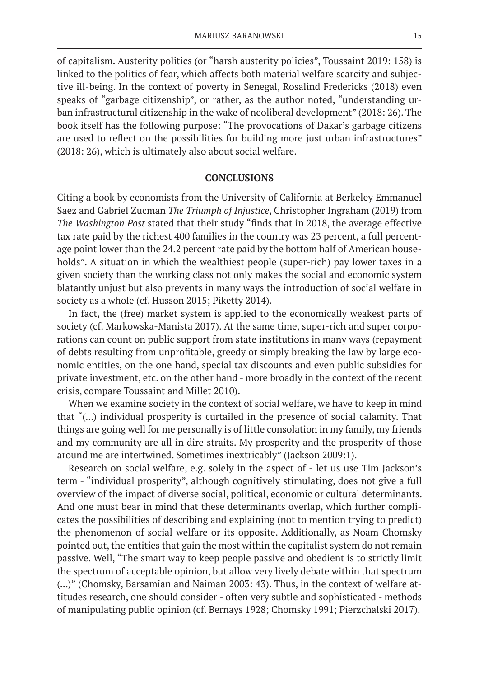of capitalism. Austerity politics (or "harsh austerity policies", Toussaint 2019: 158) is linked to the politics of fear, which affects both material welfare scarcity and subjective ill-being. In the context of poverty in Senegal, Rosalind Fredericks (2018) even speaks of "garbage citizenship", or rather, as the author noted, "understanding urban infrastructural citizenship in the wake of neoliberal development" (2018: 26). The book itself has the following purpose: "The provocations of Dakar's garbage citizens are used to reflect on the possibilities for building more just urban infrastructures" (2018: 26), which is ultimately also about social welfare.

### **CONCLUSIONS**

Citing a book by economists from the University of California at Berkeley Emmanuel Saez and Gabriel Zucman *The Triumph of Injustice*, Christopher Ingraham (2019) from *The Washington Post* stated that their study "finds that in 2018, the average effective tax rate paid by the richest 400 families in the country was 23 percent, a full percentage point lower than the 24.2 percent rate paid by the bottom half of American households". A situation in which the wealthiest people (super-rich) pay lower taxes in a given society than the working class not only makes the social and economic system blatantly unjust but also prevents in many ways the introduction of social welfare in society as a whole (cf. Husson 2015; Piketty 2014).

In fact, the (free) market system is applied to the economically weakest parts of society (cf. Markowska-Manista 2017). At the same time, super-rich and super corporations can count on public support from state institutions in many ways (repayment of debts resulting from unprofitable, greedy or simply breaking the law by large economic entities, on the one hand, special tax discounts and even public subsidies for private investment, etc. on the other hand - more broadly in the context of the recent crisis, compare Toussaint and Millet 2010).

When we examine society in the context of social welfare, we have to keep in mind that "(...) individual prosperity is curtailed in the presence of social calamity. That things are going well for me personally is of little consolation in my family, my friends and my community are all in dire straits. My prosperity and the prosperity of those around me are intertwined. Sometimes inextricably" (Jackson 2009:1).

Research on social welfare, e.g. solely in the aspect of - let us use Tim Jackson's term - "individual prosperity", although cognitively stimulating, does not give a full overview of the impact of diverse social, political, economic or cultural determinants. And one must bear in mind that these determinants overlap, which further complicates the possibilities of describing and explaining (not to mention trying to predict) the phenomenon of social welfare or its opposite. Additionally, as Noam Chomsky pointed out, the entities that gain the most within the capitalist system do not remain passive. Well, "The smart way to keep people passive and obedient is to strictly limit the spectrum of acceptable opinion, but allow very lively debate within that spectrum (...)" (Chomsky, Barsamian and Naiman 2003: 43). Thus, in the context of welfare attitudes research, one should consider - often very subtle and sophisticated - methods of manipulating public opinion (cf. Bernays 1928; Chomsky 1991; Pierzchalski 2017).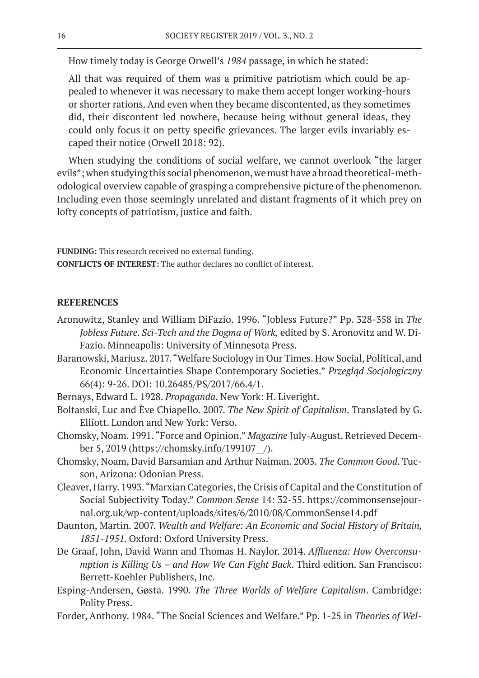How timely today is George Orwell's *1984* passage, in which he stated:

All that was required of them was a primitive patriotism which could be appealed to whenever it was necessary to make them accept longer working-hours or shorter rations. And even when they became discontented, as they sometimes did, their discontent led nowhere, because being without general ideas, they could only focus it on petty specific grievances. The larger evils invariably escaped their notice (Orwell 2018: 92).

When studying the conditions of social welfare, we cannot overlook "the larger evils"; when studying this social phenomenon, we must have a broad theoretical-methodological overview capable of grasping a comprehensive picture of the phenomenon. Including even those seemingly unrelated and distant fragments of it which prey on lofty concepts of patriotism, justice and faith.

**FUNDING:** This research received no external funding. **CONFLICTS OF INTEREST:** The author declares no conflict of interest.

## **REFERENCES**

- Aronowitz, Stanley and William DiFazio. 1996. "Jobless Future?" Pp. 328-358 in *The Jobless Future. Sci-Tech and the Dogma of Work,* edited by S. Aronovitz and W. Di-Fazio. Minneapolis: University of Minnesota Press.
- Baranowski, Mariusz. 2017. "Welfare Sociology in Our Times. How Social, Political, and Economic Uncertainties Shape Contemporary Societies." *Przegląd Socjologiczny* 66(4): 9-26. DOI: 10.26485/PS/2017/66.4/1.
- Bernays, Edward L. 1928. *Propaganda*. New York: H. Liveright.
- Boltanski, Luc and Ève Chiapello. 2007. *The New Spirit of Capitalism*. Translated by G. Elliott. London and New York: Verso.
- Chomsky, Noam. 1991. "Force and Opinion." *Magazine* July-August. Retrieved December 5, 2019 (https://chomsky.info/199107\_\_/).
- Chomsky, Noam, David Barsamian and Arthur Naiman. 2003. *The Common Good*. Tucson, Arizona: Odonian Press.
- Cleaver, Harry. 1993. "Marxian Categories, the Crisis of Capital and the Constitution of Social Subjectivity Today." *Common Sense* 14: 32-55. https://commonsensejournal.org.uk/wp-content/uploads/sites/6/2010/08/CommonSense14.pdf
- Daunton, Martin. 2007. *Wealth and Welfare: An Economic and Social History of Britain, 1851-1951.* Oxford: Oxford University Press.
- De Graaf, John, David Wann and Thomas H. Naylor. 2014. *Affluenza: How Overconsumption is Killing Us – and How We Can Fight Back*. Third edition. San Francisco: Berrett-Koehler Publishers, Inc.
- Esping-Andersen, Gøsta. 1990. *The Three Worlds of Welfare Capitalism*. Cambridge: Polity Press.
- Forder, Anthony. 1984. "The Social Sciences and Welfare." Pp. 1-25 in *Theories of Wel-*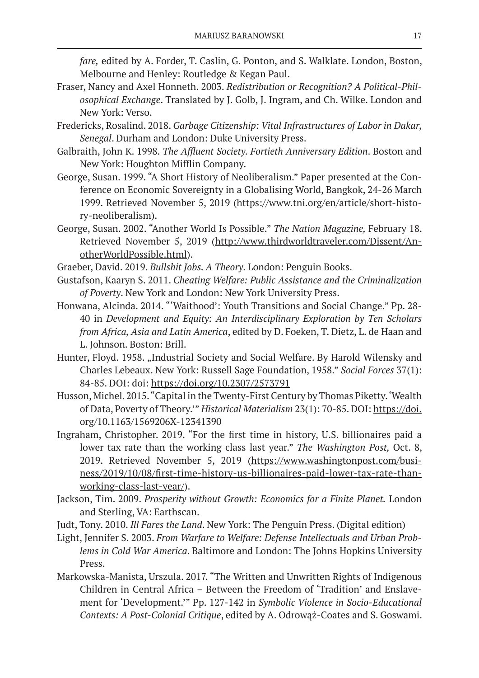*fare,* edited by A. Forder, T. Caslin, G. Ponton, and S. Walklate. London, Boston, Melbourne and Henley: Routledge & Kegan Paul.

- Fraser, Nancy and Axel Honneth. 2003. *Redistribution or Recognition? A Political-Philosophical Exchange*. Translated by J. Golb, J. Ingram, and Ch. Wilke. London and New York: Verso.
- Fredericks, Rosalind. 2018. *Garbage Citizenship: Vital Infrastructures of Labor in Dakar, Senegal*. Durham and London: Duke University Press.
- Galbraith, John K. 1998. *The Affluent Society. Fortieth Anniversary Edition*. Boston and New York: Houghton Mifflin Company.
- George, Susan. 1999. "A Short History of Neoliberalism." Paper presented at the Conference on Economic Sovereignty in a Globalising World, Bangkok, 24-26 March 1999. Retrieved November 5, 2019 (https://www.tni.org/en/article/short-history-neoliberalism).
- George, Susan. 2002. "Another World Is Possible." *The Nation Magazine,* February 18. Retrieved November 5, 2019 (http://www.thirdworldtraveler.com/Dissent/AnotherWorldPossible.html).
- Graeber, David. 2019. *Bullshit Jobs. A Theory*. London: Penguin Books.
- Gustafson, Kaaryn S. 2011. *Cheating Welfare: Public Assistance and the Criminalization of Poverty*. New York and London: New York University Press.
- Honwana, Alcinda. 2014. "'Waithood': Youth Transitions and Social Change." Pp. 28- 40 in *Development and Equity: An Interdisciplinary Exploration by Ten Scholars from Africa, Asia and Latin America*, edited by D. Foeken, T. Dietz, L. de Haan and L. Johnson. Boston: Brill.
- Hunter, Floyd. 1958. "Industrial Society and Social Welfare. By Harold Wilensky and Charles Lebeaux. New York: Russell Sage Foundation, 1958." *Social Forces* 37(1): 84-85. DOI: doi: https://doi.org/10.2307/2573791
- Husson, Michel. 2015. "Capital in the Twenty-First Century by Thomas Piketty. 'Wealth of Data, Poverty of Theory.'" *Historical Materialism* 23(1): 70-85. DOI: https://doi. org/10.1163/1569206X-12341390
- Ingraham, Christopher. 2019. "For the first time in history, U.S. billionaires paid a lower tax rate than the working class last year." *The Washington Post,* Oct. 8, 2019. Retrieved November 5, 2019 (https://www.washingtonpost.com/business/2019/10/08/first-time-history-us-billionaires-paid-lower-tax-rate-thanworking-class-last-year/).
- Jackson, Tim. 2009. *Prosperity without Growth: Economics for a Finite Planet.* London and Sterling, VA: Earthscan.
- Judt, Tony. 2010. *Ill Fares the Land*. New York: The Penguin Press. (Digital edition)
- Light, Jennifer S. 2003. *From Warfare to Welfare: Defense Intellectuals and Urban Problems in Cold War America*. Baltimore and London: The Johns Hopkins University Press.
- Markowska-Manista, Urszula. 2017. "The Written and Unwritten Rights of Indigenous Children in Central Africa – Between the Freedom of 'Tradition' and Enslavement for 'Development.'" Pp. 127-142 in *Symbolic Violence in Socio-Educational Contexts: A Post-Colonial Critique*, edited by A. Odrowąż-Coates and S. Goswami.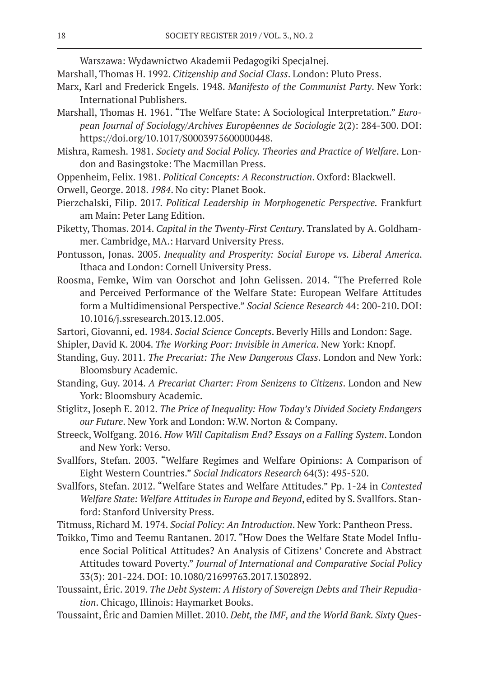Warszawa: Wydawnictwo Akademii Pedagogiki Specjalnej.

- Marshall, Thomas H. 1992. *Citizenship and Social Class*. London: Pluto Press.
- Marx, Karl and Frederick Engels. 1948. *Manifesto of the Communist Party*. New York: International Publishers.
- Marshall, Thomas H. 1961. "The Welfare State: A Sociological Interpretation." *European Journal of Sociology/Archives Europ*é*ennes de Sociologie* 2(2): 284-300. DOI: https://doi.org/10.1017/S0003975600000448.
- Mishra, Ramesh. 1981. *Society and Social Policy. Theories and Practice of Welfare*. London and Basingstoke: The Macmillan Press.
- Oppenheim, Felix. 1981. *Political Concepts: A Reconstruction*. Oxford: Blackwell.
- Orwell, George. 2018. *1984*. No city: Planet Book.
- Pierzchalski, Filip. 2017. *Political Leadership in Morphogenetic Perspective.* Frankfurt am Main: Peter Lang Edition.
- Piketty, Thomas. 2014. *Capital in the Twenty-First Century*. Translated by A. Goldhammer. Cambridge, MA.: Harvard University Press.
- Pontusson, Jonas. 2005. *Inequality and Prosperity: Social Europe vs. Liberal America*. Ithaca and London: Cornell University Press.
- Roosma, Femke, Wim van Oorschot and John Gelissen. 2014. "The Preferred Role and Perceived Performance of the Welfare State: European Welfare Attitudes form a Multidimensional Perspective." *Social Science Research* 44: 200-210. DOI: 10.1016/j.ssresearch.2013.12.005.
- Sartori, Giovanni, ed. 1984. *Social Science Concepts*. Beverly Hills and London: Sage.
- Shipler, David K. 2004. *The Working Poor: Invisible in America*. New York: Knopf.
- Standing, Guy. 2011. *The Precariat: The New Dangerous Class*. London and New York: Bloomsbury Academic.
- Standing, Guy. 2014. *A Precariat Charter: From Senizens to Citizens*. London and New York: Bloomsbury Academic.
- Stiglitz, Joseph E. 2012. *The Price of Inequality: How Today's Divided Society Endangers our Future*. New York and London: W.W. Norton & Company.
- Streeck, Wolfgang. 2016. *How Will Capitalism End? Essays on a Falling System*. London and New York: Verso.
- Svallfors, Stefan. 2003. "Welfare Regimes and Welfare Opinions: A Comparison of Eight Western Countries." *Social Indicators Research* 64(3): 495-520.
- Svallfors, Stefan. 2012. "Welfare States and Welfare Attitudes." Pp. 1-24 in *Contested Welfare State: Welfare Attitudes in Europe and Beyond*, edited by S. Svallfors. Stanford: Stanford University Press.

Titmuss, Richard M. 1974. *Social Policy: An Introduction*. New York: Pantheon Press.

- Toikko, Timo and Teemu Rantanen. 2017. "How Does the Welfare State Model Influence Social Political Attitudes? An Analysis of Citizens' Concrete and Abstract Attitudes toward Poverty." *Journal of International and Comparative Social Policy* 33(3): 201-224. DOI: 10.1080/21699763.2017.1302892.
- Toussaint, Éric. 2019. *The Debt System: A History of Sovereign Debts and Their Repudiation*. Chicago, Illinois: Haymarket Books.
- Toussaint, Éric and Damien Millet. 2010. *Debt, the IMF, and the World Bank. Sixty Ques-*